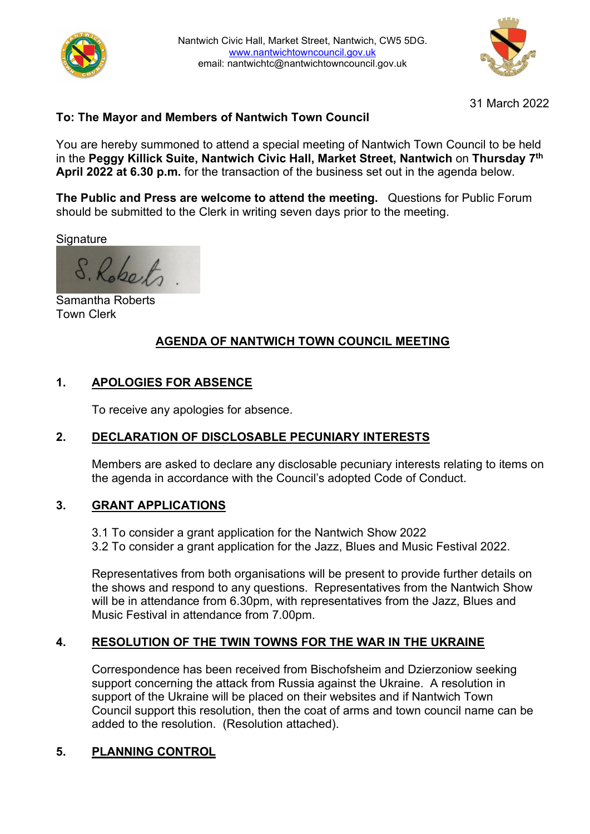



31 March 2022

## **To: The Mayor and Members of Nantwich Town Council**

You are hereby summoned to attend a special meeting of Nantwich Town Council to be held in the **Peggy Killick Suite, Nantwich Civic Hall, Market Street, Nantwich** on **Thursday 7th April 2022 at 6.30 p.m.** for the transaction of the business set out in the agenda below.

**The Public and Press are welcome to attend the meeting.** Questions for Public Forum should be submitted to the Clerk in writing seven days prior to the meeting.

**Signature** 

S. Roberts

Samantha Roberts Town Clerk

### **AGENDA OF NANTWICH TOWN COUNCIL MEETING**

### **1. APOLOGIES FOR ABSENCE**

To receive any apologies for absence.

# **2. DECLARATION OF DISCLOSABLE PECUNIARY INTERESTS**

Members are asked to declare any disclosable pecuniary interests relating to items on the agenda in accordance with the Council's adopted Code of Conduct.

### **3. GRANT APPLICATIONS**

3.1 To consider a grant application for the Nantwich Show 2022 3.2 To consider a grant application for the Jazz, Blues and Music Festival 2022.

Representatives from both organisations will be present to provide further details on the shows and respond to any questions. Representatives from the Nantwich Show will be in attendance from 6.30pm, with representatives from the Jazz, Blues and Music Festival in attendance from 7.00pm.

### **4. RESOLUTION OF THE TWIN TOWNS FOR THE WAR IN THE UKRAINE**

Correspondence has been received from Bischofsheim and Dzierzoniow seeking support concerning the attack from Russia against the Ukraine. A resolution in support of the Ukraine will be placed on their websites and if Nantwich Town Council support this resolution, then the coat of arms and town council name can be added to the resolution. (Resolution attached).

### **5. PLANNING CONTROL**